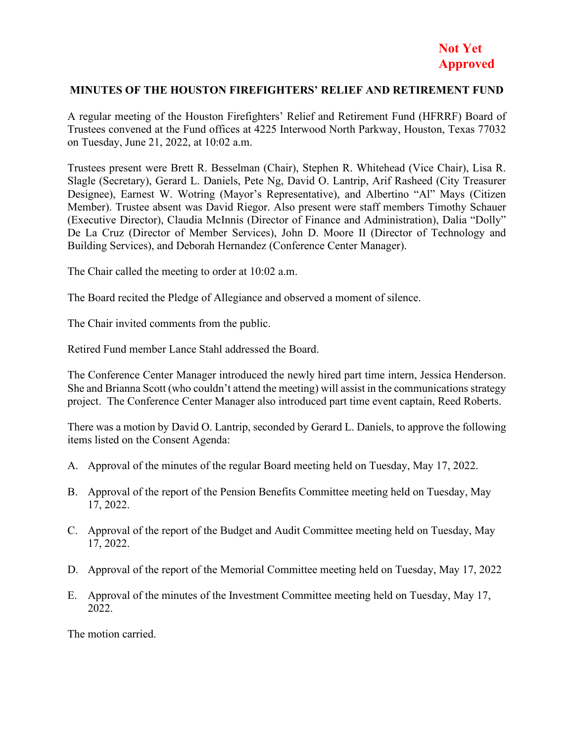## **MINUTES OF THE HOUSTON FIREFIGHTERS' RELIEF AND RETIREMENT FUND**

A regular meeting of the Houston Firefighters' Relief and Retirement Fund (HFRRF) Board of Trustees convened at the Fund offices at 4225 Interwood North Parkway, Houston, Texas 77032 on Tuesday, June 21, 2022, at 10:02 a.m.

Trustees present were Brett R. Besselman (Chair), Stephen R. Whitehead (Vice Chair), Lisa R. Slagle (Secretary), Gerard L. Daniels, Pete Ng, David O. Lantrip, Arif Rasheed (City Treasurer Designee), Earnest W. Wotring (Mayor's Representative), and Albertino "Al" Mays (Citizen Member). Trustee absent was David Riegor. Also present were staff members Timothy Schauer (Executive Director), Claudia McInnis (Director of Finance and Administration), Dalia "Dolly" De La Cruz (Director of Member Services), John D. Moore II (Director of Technology and Building Services), and Deborah Hernandez (Conference Center Manager).

The Chair called the meeting to order at 10:02 a.m.

The Board recited the Pledge of Allegiance and observed a moment of silence.

The Chair invited comments from the public.

Retired Fund member Lance Stahl addressed the Board.

The Conference Center Manager introduced the newly hired part time intern, Jessica Henderson. She and Brianna Scott (who couldn't attend the meeting) will assist in the communications strategy project. The Conference Center Manager also introduced part time event captain, Reed Roberts.

There was a motion by David O. Lantrip, seconded by Gerard L. Daniels, to approve the following items listed on the Consent Agenda:

- A. Approval of the minutes of the regular Board meeting held on Tuesday, May 17, 2022.
- B. Approval of the report of the Pension Benefits Committee meeting held on Tuesday, May 17, 2022.
- C. Approval of the report of the Budget and Audit Committee meeting held on Tuesday, May 17, 2022.
- D. Approval of the report of the Memorial Committee meeting held on Tuesday, May 17, 2022
- E. Approval of the minutes of the Investment Committee meeting held on Tuesday, May 17, 2022.

The motion carried.